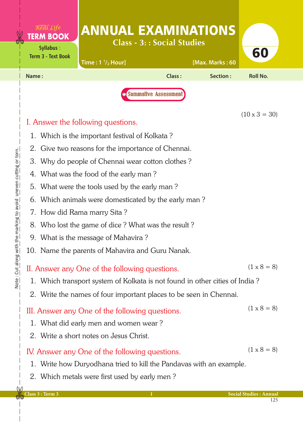| Real Life<br><b>TERM BOOK</b><br>Syllabus:<br><b>Term 3 - Text Book</b>                    | <b>ANNUAL EXAMINATIONS</b><br>Time: $1 \frac{1}{2}$ Hour]                                                                                                              | <b>Class - 3:: Social Studies</b> | [Max. Marks: 60 | 60                   |  |  |
|--------------------------------------------------------------------------------------------|------------------------------------------------------------------------------------------------------------------------------------------------------------------------|-----------------------------------|-----------------|----------------------|--|--|
| Name:                                                                                      |                                                                                                                                                                        | Class:                            | Section:        | <b>Roll No.</b>      |  |  |
|                                                                                            |                                                                                                                                                                        | <b>O</b> Summative Assessment     |                 | $(10 \times 3 = 30)$ |  |  |
| I. Answer the following questions.                                                         |                                                                                                                                                                        |                                   |                 |                      |  |  |
| 1. Which is the important festival of Kolkata?                                             |                                                                                                                                                                        |                                   |                 |                      |  |  |
| 2. Give two reasons for the importance of Chennai.                                         |                                                                                                                                                                        |                                   |                 |                      |  |  |
| 3. Why do people of Chennai wear cotton clothes?<br>4. What was the food of the early man? |                                                                                                                                                                        |                                   |                 |                      |  |  |
| 5. What were the tools used by the early man?                                              |                                                                                                                                                                        |                                   |                 |                      |  |  |
| 6. Which animals were domesticated by the early man?                                       |                                                                                                                                                                        |                                   |                 |                      |  |  |
| 7. How did Rama marry Sita?                                                                |                                                                                                                                                                        |                                   |                 |                      |  |  |
| 8. Who lost the game of dice? What was the result?                                         |                                                                                                                                                                        |                                   |                 |                      |  |  |
| 9. What is the message of Mahavira?                                                        |                                                                                                                                                                        |                                   |                 |                      |  |  |
| 10. Name the parents of Mahavira and Guru Nanak.                                           |                                                                                                                                                                        |                                   |                 |                      |  |  |
|                                                                                            | II. Answer any One of the following questions.<br>1. Which transport system of Kolkata is not found in other cities of India?                                          |                                   |                 | $(1 \times 8 = 8)$   |  |  |
| 2. Write the names of four important places to be seen in Chennai.                         |                                                                                                                                                                        |                                   |                 |                      |  |  |
|                                                                                            | III. Answer any One of the following questions.<br>1. What did early men and women wear?<br>2. Write a short notes on Jesus Christ.                                    |                                   |                 | $(1 \times 8 = 8)$   |  |  |
|                                                                                            | IV. Answer any One of the following questions.<br>1. Write how Duryodhana tried to kill the Pandavas with an example.<br>2. Which metals were first used by early men? |                                   |                 | $(1 \times 8 = 8)$   |  |  |

 $\overline{\phantom{a}}$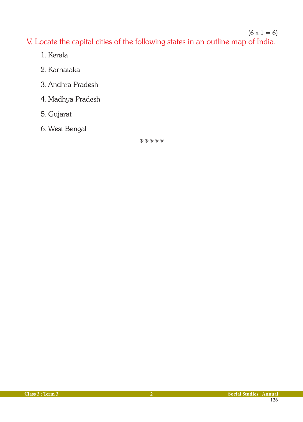#### $(6 \times 1 = 6)$

V. Locate the capital cities of the following states in an outline map of India.

- 1. Kerala
- 2. Karnataka
- 3. Andhra Pradesh
- 4. Madhya Pradesh
- 5. Gujarat
- 6. West Bengal

kkkkk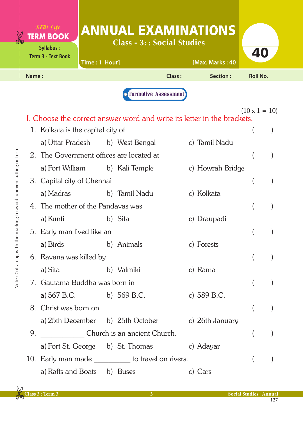|       | <b>TERM BOOK</b><br><b>Syllabus:</b><br><b>Term 3 - Text Book</b> | Time: 1 Hour] | <b>ANNUAL EXAMINATIONS</b><br><b>Class - 3:: Social Studies</b>         |               | [Max. Marks: 40  | 40                   |  |
|-------|-------------------------------------------------------------------|---------------|-------------------------------------------------------------------------|---------------|------------------|----------------------|--|
| Name: |                                                                   |               |                                                                         | <b>Class:</b> | Section:         | <b>Roll No.</b>      |  |
|       |                                                                   |               | <b>O</b> Formative Assessment                                           |               |                  |                      |  |
|       |                                                                   |               |                                                                         |               |                  |                      |  |
|       |                                                                   |               | I. Choose the correct answer word and write its letter in the brackets. |               |                  | $(10 \times 1 = 10)$ |  |
|       | 1. Kolkata is the capital city of                                 |               |                                                                         |               |                  |                      |  |
|       | a) Uttar Pradesh                                                  |               | b) West Bengal                                                          |               | c) Tamil Nadu    |                      |  |
|       |                                                                   |               | 2. The Government offices are located at                                |               |                  |                      |  |
|       | a) Fort William                                                   |               | b) Kali Temple                                                          |               | c) Howrah Bridge |                      |  |
|       | 3. Capital city of Chennai                                        |               |                                                                         |               |                  |                      |  |
|       | a) Madras                                                         |               | b) Tamil Nadu                                                           |               | c) Kolkata       |                      |  |
|       | 4. The mother of the Pandavas was                                 |               |                                                                         |               |                  |                      |  |
|       | a) Kunti                                                          |               | b) Sita                                                                 |               | c) Draupadi      |                      |  |
|       | 5. Early man lived like an                                        |               |                                                                         |               |                  |                      |  |
|       | a) Birds                                                          |               | b) Animals                                                              |               | c) Forests       |                      |  |
|       | 6. Ravana was killed by                                           |               |                                                                         |               |                  |                      |  |
|       | a) Sita b) Valmiki                                                |               |                                                                         |               | c) Rama          |                      |  |
|       | 7. Gautama Buddha was born in                                     |               |                                                                         |               |                  |                      |  |
|       | a) 567 B.C. b) 569 B.C.                                           |               |                                                                         |               | c) 589 B.C.      |                      |  |
|       | 8. Christ was born on                                             |               |                                                                         |               |                  |                      |  |
|       |                                                                   |               | a) 25th December b) 25th October c) 26th January                        |               |                  |                      |  |
| 9.    |                                                                   |               | Church is an ancient Church.                                            |               |                  |                      |  |
|       |                                                                   |               | a) Fort St. George b) St. Thomas c) Adayar                              |               |                  |                      |  |
|       |                                                                   |               | 10. Early man made to travel on rivers.                                 |               |                  |                      |  |
|       | a) Rafts and Boats b) Buses                                       |               |                                                                         |               | c) Cars          |                      |  |

 $\overline{\phantom{a}}$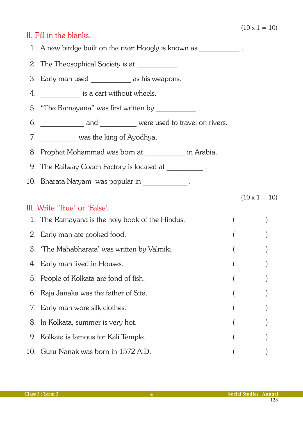$(10 \times 1 = 10)$ 

#### II. Fill in the blanks.

- 1. A new birdge built on the river Hoogly is known as  $\qquad \qquad$ .
- 2. The Theosophical Society is at  $\qquad \qquad$ .
- 3. Early man used as his weapons.
- 4. **Example 3** is a cart without wheels.
- 5. "The Ramayana" was first written by The Ramayana" was first written by
- 6. \_\_\_\_\_\_\_\_\_\_\_\_\_ and \_\_\_\_\_\_\_\_\_ were used to travel on rivers.
- 7. **Was the king of Ayodhya.**
- 8. Prophet Mohammad was born at **Example 20** in Arabia.
- 9. The Railway Coach Factory is located at \_\_\_\_\_\_\_\_\_\_\_\_.
- 10. Bharata Natyam was popular in \_\_\_\_\_\_\_\_\_\_\_\_ .

### III. Write 'True' or 'False'.

| 1. The Ramayana is the holy book of the Hindus. |  |
|-------------------------------------------------|--|
| 2. Early man ate cooked food.                   |  |
| 3. 'The Mahabharata' was written by Valmiki.    |  |
| 4. Early man lived in Houses.                   |  |
| 5. People of Kolkata are fond of fish.          |  |
| 6. Raja Janaka was the father of Sita.          |  |
| 7. Early man wore silk clothes.                 |  |
| 8. In Kolkata, summer is very hot.              |  |
| 9. Kolkata is famous for Kali Temple.           |  |
| 10. Guru Nanak was born in 1572 A.D.            |  |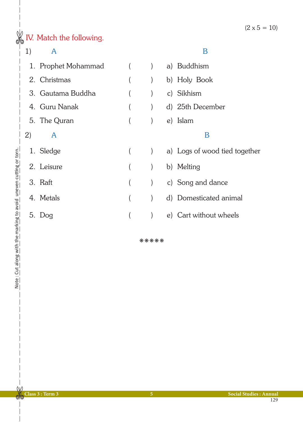# $\frac{1}{\sqrt{2}}$  IV. Match the following.

## 1) A B

|    | 1. Prophet Mohammad |  | a) Buddhism                   |
|----|---------------------|--|-------------------------------|
|    | 2. Christmas        |  | b) Holy Book                  |
|    | 3. Gautama Buddha   |  | c) Sikhism                    |
|    | 4. Guru Nanak       |  | d) 25th December              |
|    | 5. The Quran        |  | e) Islam                      |
| 2) | A                   |  | B                             |
|    | 1. Sledge           |  | a) Logs of wood tied together |
|    | 2. Leisure          |  | b) Melting                    |
|    | 3. Raft             |  | c) Song and dance             |
|    | 4. Metals           |  | d) Domesticated animal        |
| 5. | Doq                 |  | e) Cart without wheels        |

kkkkk